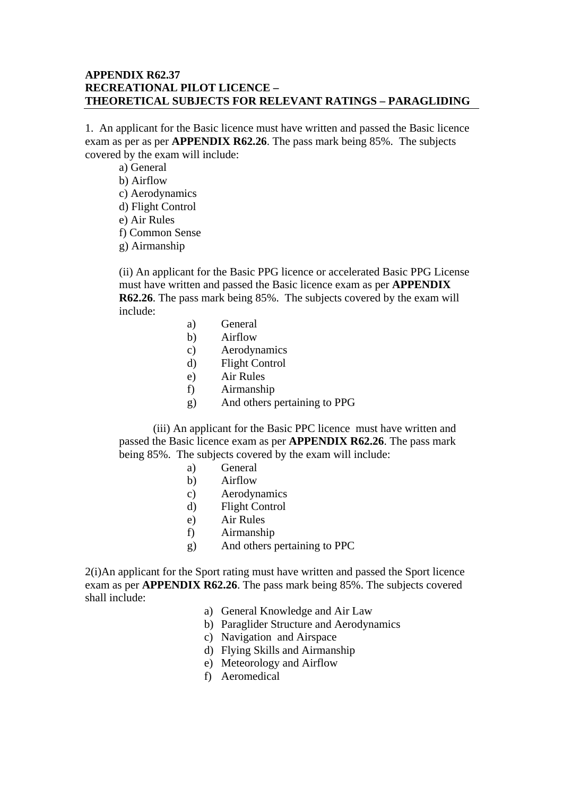## **APPENDIX R62.37 RECREATIONAL PILOT LICENCE – THEORETICAL SUBJECTS FOR RELEVANT RATINGS – PARAGLIDING**

1. An applicant for the Basic licence must have written and passed the Basic licence exam as per as per **APPENDIX R62.26**. The pass mark being 85%. The subjects covered by the exam will include:

a) General b) Airflow c) Aerodynamics d) Flight Control e) Air Rules f) Common Sense g) Airmanship

(ii) An applicant for the Basic PPG licence or accelerated Basic PPG License must have written and passed the Basic licence exam as per **APPENDIX R62.26**. The pass mark being 85%. The subjects covered by the exam will include:

- a) General
- b) Airflow
- c) Aerodynamics
- d) Flight Control
- e) Air Rules
- f) Airmanship
- g) And others pertaining to PPG

 (iii) An applicant for the Basic PPC licence must have written and passed the Basic licence exam as per **APPENDIX R62.26**. The pass mark being 85%. The subjects covered by the exam will include:

- a) General
- b) Airflow
- c) Aerodynamics
- d) Flight Control
- e) Air Rules
- f) Airmanship
- g) And others pertaining to PPC

2(i)An applicant for the Sport rating must have written and passed the Sport licence exam as per **APPENDIX R62.26**. The pass mark being 85%. The subjects covered shall include:

- a) General Knowledge and Air Law
- b) Paraglider Structure and Aerodynamics
- c) Navigation and Airspace
- d) Flying Skills and Airmanship
- e) Meteorology and Airflow
- f) Aeromedical